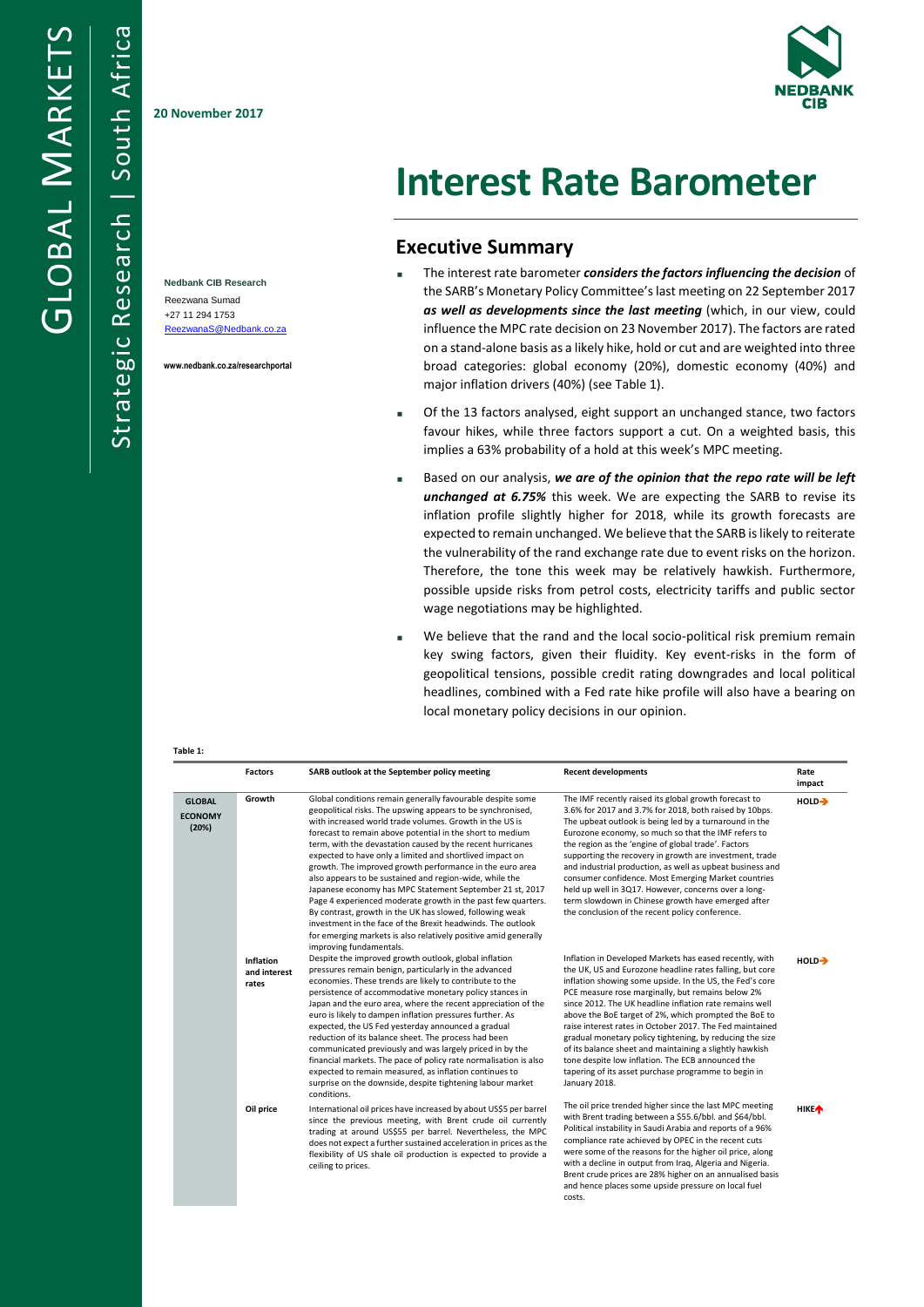Strategic Research | South Africa

Strategic Research

South Africa

**20 November 2017**

**Nedbank CIB Research** Reezwana Sumad +27 11 294 1753 [ReezwanaS@Nedbank.co.za](mailto:ReezwanaS@Nedbank.co.za)

**www.nedbank.co.za/researchportal**

**Table 1:**



# **Interest Rate Barometer**

## **Executive Summary**

- The interest rate barometer *considers the factors influencing the decision* of the SARB's Monetary Policy Committee's last meeting on 22 September 2017 *as well as developments since the last meeting* (which, in our view, could influence the MPC rate decision on 23 November 2017). The factors are rated on a stand-alone basis as a likely hike, hold or cut and are weighted into three broad categories: global economy (20%), domestic economy (40%) and major inflation drivers (40%) (see Table 1).
- Of the 13 factors analysed, eight support an unchanged stance, two factors favour hikes, while three factors support a cut. On a weighted basis, this implies a 63% probability of a hold at this week's MPC meeting.
- Based on our analysis, *we are of the opinion that the repo rate will be left unchanged at 6.75%* this week. We are expecting the SARB to revise its inflation profile slightly higher for 2018, while its growth forecasts are expected to remain unchanged. We believe that the SARB is likely to reiterate the vulnerability of the rand exchange rate due to event risks on the horizon. Therefore, the tone this week may be relatively hawkish. Furthermore, possible upside risks from petrol costs, electricity tariffs and public sector wage negotiations may be highlighted.
- We believe that the rand and the local socio-political risk premium remain key swing factors, given their fluidity. Key event-risks in the form of geopolitical tensions, possible credit rating downgrades and local political headlines, combined with a Fed rate hike profile will also have a bearing on local monetary policy decisions in our opinion.

|                                          | <b>Factors</b>                            | SARB outlook at the September policy meeting                                                                                                                                                                                                                                                                                                                                                                                                                                                                                                                                                                                                                                                                                                                                                                                                            | <b>Recent developments</b>                                                                                                                                                                                                                                                                                                                                                                                                                                                                                                                                                                                                                                                |                         |
|------------------------------------------|-------------------------------------------|---------------------------------------------------------------------------------------------------------------------------------------------------------------------------------------------------------------------------------------------------------------------------------------------------------------------------------------------------------------------------------------------------------------------------------------------------------------------------------------------------------------------------------------------------------------------------------------------------------------------------------------------------------------------------------------------------------------------------------------------------------------------------------------------------------------------------------------------------------|---------------------------------------------------------------------------------------------------------------------------------------------------------------------------------------------------------------------------------------------------------------------------------------------------------------------------------------------------------------------------------------------------------------------------------------------------------------------------------------------------------------------------------------------------------------------------------------------------------------------------------------------------------------------------|-------------------------|
| <b>GLOBAL</b><br><b>ECONOMY</b><br>(20%) | Growth                                    | Global conditions remain generally favourable despite some<br>geopolitical risks. The upswing appears to be synchronised,<br>with increased world trade volumes. Growth in the US is<br>forecast to remain above potential in the short to medium<br>term, with the devastation caused by the recent hurricanes<br>expected to have only a limited and shortlived impact on<br>growth. The improved growth performance in the euro area<br>also appears to be sustained and region-wide, while the<br>Japanese economy has MPC Statement September 21 st, 2017<br>Page 4 experienced moderate growth in the past few quarters.<br>By contrast, growth in the UK has slowed, following weak<br>investment in the face of the Brexit headwinds. The outlook<br>for emerging markets is also relatively positive amid generally<br>improving fundamentals. | The IMF recently raised its global growth forecast to<br>3.6% for 2017 and 3.7% for 2018, both raised by 10bps.<br>The upbeat outlook is being led by a turnaround in the<br>Eurozone economy, so much so that the IMF refers to<br>the region as the 'engine of global trade'. Factors<br>supporting the recovery in growth are investment, trade<br>and industrial production, as well as upbeat business and<br>consumer confidence. Most Emerging Market countries<br>held up well in 3Q17. However, concerns over a long-<br>term slowdown in Chinese growth have emerged after<br>the conclusion of the recent policy conference.                                   | HOLD-                   |
|                                          | <b>Inflation</b><br>and interest<br>rates | Despite the improved growth outlook, global inflation<br>pressures remain benign, particularly in the advanced<br>economies. These trends are likely to contribute to the<br>persistence of accommodative monetary policy stances in<br>Japan and the euro area, where the recent appreciation of the<br>euro is likely to dampen inflation pressures further. As<br>expected, the US Fed yesterday announced a gradual<br>reduction of its balance sheet. The process had been<br>communicated previously and was largely priced in by the<br>financial markets. The pace of policy rate normalisation is also<br>expected to remain measured, as inflation continues to<br>surprise on the downside, despite tightening labour market<br>conditions.                                                                                                  | Inflation in Developed Markets has eased recently, with<br>the UK, US and Eurozone headline rates falling, but core<br>inflation showing some upside. In the US, the Fed's core<br>PCE measure rose marginally, but remains below 2%<br>since 2012. The UK headline inflation rate remains well<br>above the BoE target of 2%, which prompted the BoE to<br>raise interest rates in October 2017. The Fed maintained<br>gradual monetary policy tightening, by reducing the size<br>of its balance sheet and maintaining a slightly hawkish<br>tone despite low inflation. The ECB announced the<br>tapering of its asset purchase programme to begin in<br>January 2018. | HOLD <sub>2</sub>       |
|                                          | Oil price                                 | International oil prices have increased by about US\$5 per barrel<br>since the previous meeting, with Brent crude oil currently<br>trading at around US\$55 per barrel. Nevertheless, the MPC<br>does not expect a further sustained acceleration in prices as the<br>flexibility of US shale oil production is expected to provide a<br>ceiling to prices.                                                                                                                                                                                                                                                                                                                                                                                                                                                                                             | The oil price trended higher since the last MPC meeting<br>with Brent trading between a \$55.6/bbl. and \$64/bbl.<br>Political instability in Saudi Arabia and reports of a 96%<br>compliance rate achieved by OPEC in the recent cuts<br>were some of the reasons for the higher oil price, along<br>with a decline in output from Iraq, Algeria and Nigeria.<br>Brent crude prices are 28% higher on an annualised basis<br>and hence places some upside pressure on local fuel<br>costs.                                                                                                                                                                               | <b>HIKE</b> <sup></sup> |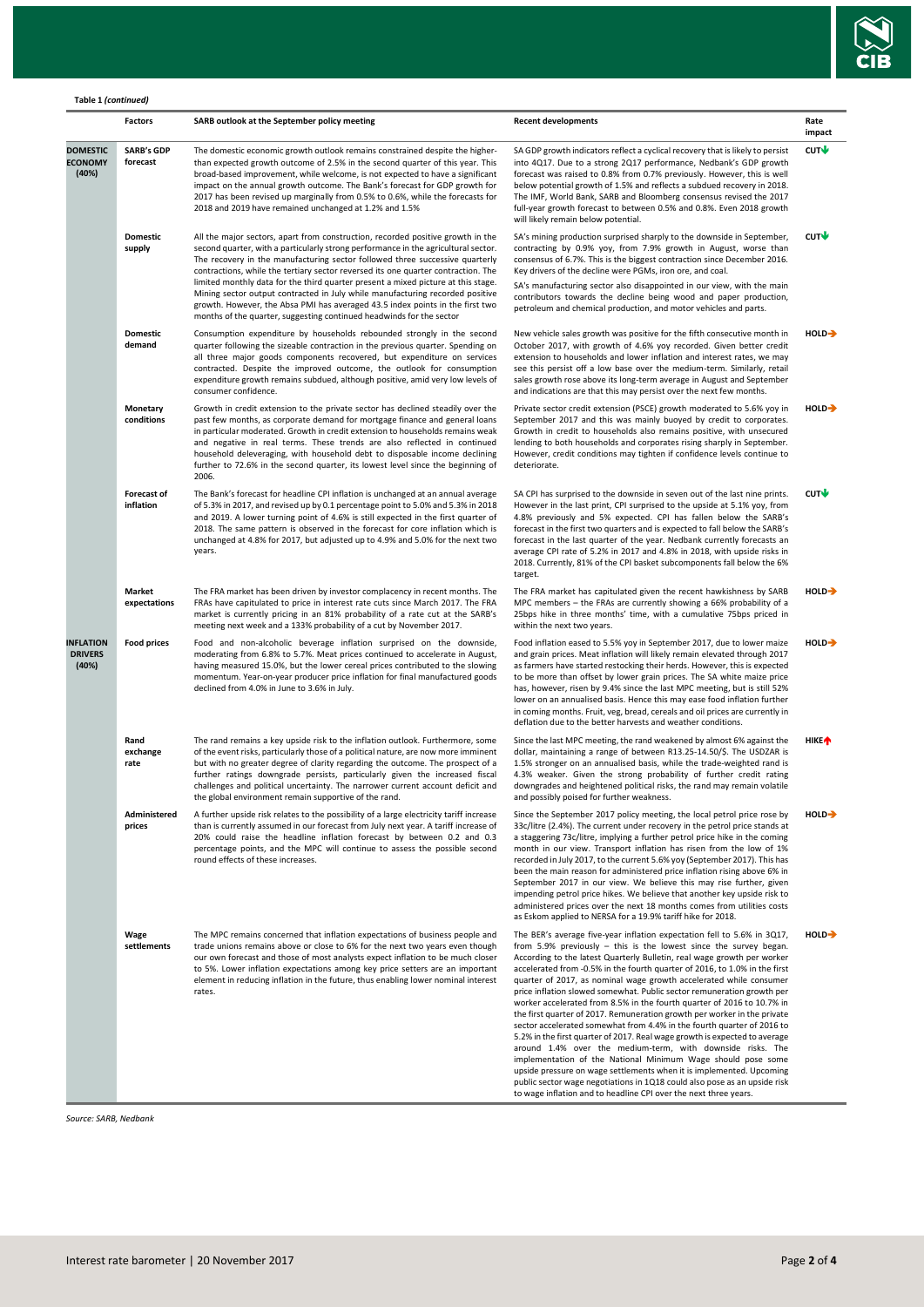

#### **Table 1** *(continued)*

|                                             | Factors                         | SARB outlook at the September policy meeting                                                                                                                                                                                                                                                                                                                                                                                                                                                           | <b>Recent developments</b>                                                                                                                                                                                                                                                                                                                                                                                                                                                                                                                                                                                                                                                                                                                                                                                                                                                                                                                                                                                                                                                                                                   | Rate<br>impact     |  |
|---------------------------------------------|---------------------------------|--------------------------------------------------------------------------------------------------------------------------------------------------------------------------------------------------------------------------------------------------------------------------------------------------------------------------------------------------------------------------------------------------------------------------------------------------------------------------------------------------------|------------------------------------------------------------------------------------------------------------------------------------------------------------------------------------------------------------------------------------------------------------------------------------------------------------------------------------------------------------------------------------------------------------------------------------------------------------------------------------------------------------------------------------------------------------------------------------------------------------------------------------------------------------------------------------------------------------------------------------------------------------------------------------------------------------------------------------------------------------------------------------------------------------------------------------------------------------------------------------------------------------------------------------------------------------------------------------------------------------------------------|--------------------|--|
| <b>DOMESTIC</b><br><b>ECONOMY</b><br>(40%)  | <b>SARB's GDP</b><br>forecast   | The domestic economic growth outlook remains constrained despite the higher-<br>than expected growth outcome of 2.5% in the second quarter of this year. This<br>broad-based improvement, while welcome, is not expected to have a significant<br>impact on the annual growth outcome. The Bank's forecast for GDP growth for<br>2017 has been revised up marginally from 0.5% to 0.6%, while the forecasts for<br>2018 and 2019 have remained unchanged at 1.2% and 1.5%                              | SA GDP growth indicators reflect a cyclical recovery that is likely to persist<br>into 4Q17. Due to a strong 2Q17 performance, Nedbank's GDP growth<br>forecast was raised to 0.8% from 0.7% previously. However, this is well<br>below potential growth of 1.5% and reflects a subdued recovery in 2018.<br>The IMF, World Bank, SARB and Bloomberg consensus revised the 2017<br>full-year growth forecast to between 0.5% and 0.8%. Even 2018 growth<br>will likely remain below potential.                                                                                                                                                                                                                                                                                                                                                                                                                                                                                                                                                                                                                               | CUT                |  |
|                                             | <b>Domestic</b><br>supply       | All the major sectors, apart from construction, recorded positive growth in the<br>second quarter, with a particularly strong performance in the agricultural sector.<br>The recovery in the manufacturing sector followed three successive quarterly<br>contractions, while the tertiary sector reversed its one quarter contraction. The<br>limited monthly data for the third quarter present a mixed picture at this stage.                                                                        | SA's mining production surprised sharply to the downside in September,<br>contracting by 0.9% yoy, from 7.9% growth in August, worse than<br>consensus of 6.7%. This is the biggest contraction since December 2016.<br>Key drivers of the decline were PGMs, iron ore, and coal.<br>SA's manufacturing sector also disappointed in our view, with the main                                                                                                                                                                                                                                                                                                                                                                                                                                                                                                                                                                                                                                                                                                                                                                  | CUT                |  |
|                                             |                                 | Mining sector output contracted in July while manufacturing recorded positive<br>growth. However, the Absa PMI has averaged 43.5 index points in the first two<br>months of the quarter, suggesting continued headwinds for the sector                                                                                                                                                                                                                                                                 | contributors towards the decline being wood and paper production,<br>petroleum and chemical production, and motor vehicles and parts.                                                                                                                                                                                                                                                                                                                                                                                                                                                                                                                                                                                                                                                                                                                                                                                                                                                                                                                                                                                        |                    |  |
|                                             | <b>Domestic</b><br>demand       | Consumption expenditure by households rebounded strongly in the second<br>quarter following the sizeable contraction in the previous quarter. Spending on<br>all three major goods components recovered, but expenditure on services<br>contracted. Despite the improved outcome, the outlook for consumption<br>expenditure growth remains subdued, although positive, amid very low levels of<br>consumer confidence.                                                                                | New vehicle sales growth was positive for the fifth consecutive month in<br>October 2017, with growth of 4.6% yoy recorded. Given better credit<br>extension to households and lower inflation and interest rates, we may<br>see this persist off a low base over the medium-term. Similarly, retail<br>sales growth rose above its long-term average in August and September<br>and indications are that this may persist over the next few months.                                                                                                                                                                                                                                                                                                                                                                                                                                                                                                                                                                                                                                                                         | HOLD-              |  |
|                                             | Monetary<br>conditions          | Growth in credit extension to the private sector has declined steadily over the<br>past few months, as corporate demand for mortgage finance and general loans<br>in particular moderated. Growth in credit extension to households remains weak<br>and negative in real terms. These trends are also reflected in continued<br>household deleveraging, with household debt to disposable income declining<br>further to 72.6% in the second quarter, its lowest level since the beginning of<br>2006. | Private sector credit extension (PSCE) growth moderated to 5.6% yoy in<br>September 2017 and this was mainly buoyed by credit to corporates.<br>Growth in credit to households also remains positive, with unsecured<br>lending to both households and corporates rising sharply in September.<br>However, credit conditions may tighten if confidence levels continue to<br>deteriorate.                                                                                                                                                                                                                                                                                                                                                                                                                                                                                                                                                                                                                                                                                                                                    | HOLD-              |  |
|                                             | <b>Forecast of</b><br>inflation | The Bank's forecast for headline CPI inflation is unchanged at an annual average<br>of 5.3% in 2017, and revised up by 0.1 percentage point to 5.0% and 5.3% in 2018<br>and 2019. A lower turning point of 4.6% is still expected in the first quarter of<br>2018. The same pattern is observed in the forecast for core inflation which is<br>unchanged at 4.8% for 2017, but adjusted up to 4.9% and 5.0% for the next two<br>years.                                                                 | SA CPI has surprised to the downside in seven out of the last nine prints.<br>However in the last print, CPI surprised to the upside at 5.1% yoy, from<br>4.8% previously and 5% expected. CPI has fallen below the SARB's<br>forecast in the first two quarters and is expected to fall below the SARB's<br>forecast in the last quarter of the year. Nedbank currently forecasts an<br>average CPI rate of 5.2% in 2017 and 4.8% in 2018, with upside risks in<br>2018. Currently, 81% of the CPI basket subcomponents fall below the 6%<br>target.                                                                                                                                                                                                                                                                                                                                                                                                                                                                                                                                                                        | CUT                |  |
|                                             | Market<br>expectations          | The FRA market has been driven by investor complacency in recent months. The<br>FRAs have capitulated to price in interest rate cuts since March 2017. The FRA<br>market is currently pricing in an 81% probability of a rate cut at the SARB's<br>meeting next week and a 133% probability of a cut by November 2017.                                                                                                                                                                                 | The FRA market has capitulated given the recent hawkishness by SARB<br>MPC members - the FRAs are currently showing a 66% probability of a<br>25bps hike in three months' time, with a cumulative 75bps priced in<br>within the next two years.                                                                                                                                                                                                                                                                                                                                                                                                                                                                                                                                                                                                                                                                                                                                                                                                                                                                              | HOLD-              |  |
| <b>INFLATION</b><br><b>DRIVERS</b><br>(40%) | <b>Food prices</b>              | Food and non-alcoholic beverage inflation surprised on the downside,<br>moderating from 6.8% to 5.7%. Meat prices continued to accelerate in August,<br>having measured 15.0%, but the lower cereal prices contributed to the slowing<br>momentum. Year-on-year producer price inflation for final manufactured goods<br>declined from 4.0% in June to 3.6% in July.                                                                                                                                   | Food inflation eased to 5.5% yoy in September 2017, due to lower maize<br>and grain prices. Meat inflation will likely remain elevated through 2017<br>as farmers have started restocking their herds. However, this is expected<br>to be more than offset by lower grain prices. The SA white maize price<br>has, however, risen by 9.4% since the last MPC meeting, but is still 52%<br>lower on an annualised basis. Hence this may ease food inflation further<br>in coming months. Fruit, veg, bread, cereals and oil prices are currently in<br>deflation due to the better harvests and weather conditions.                                                                                                                                                                                                                                                                                                                                                                                                                                                                                                           | $HOLD \rightarrow$ |  |
|                                             | Rand<br>exchange<br>rate        | The rand remains a key upside risk to the inflation outlook. Furthermore, some<br>of the event risks, particularly those of a political nature, are now more imminent<br>but with no greater degree of clarity regarding the outcome. The prospect of a<br>further ratings downgrade persists, particularly given the increased fiscal<br>challenges and political uncertainty. The narrower current account deficit and<br>the global environment remain supportive of the rand.                      | Since the last MPC meeting, the rand weakened by almost 6% against the<br>dollar, maintaining a range of between R13.25-14.50/\$. The USDZAR is<br>1.5% stronger on an annualised basis, while the trade-weighted rand is<br>4.3% weaker. Given the strong probability of further credit rating<br>downgrades and heightened political risks, the rand may remain volatile<br>and possibly poised for further weakness.                                                                                                                                                                                                                                                                                                                                                                                                                                                                                                                                                                                                                                                                                                      | <b>HIKEA</b>       |  |
|                                             | Administered<br>prices          | A further upside risk relates to the possibility of a large electricity tariff increase<br>than is currently assumed in our forecast from July next year. A tariff increase of<br>20% could raise the headline inflation forecast by between 0.2 and 0.3<br>percentage points, and the MPC will continue to assess the possible second<br>round effects of these increases.                                                                                                                            | Since the September 2017 policy meeting, the local petrol price rose by<br>33c/litre (2.4%). The current under recovery in the petrol price stands at<br>a staggering 73c/litre, implying a further petrol price hike in the coming<br>month in our view. Transport inflation has risen from the low of 1%<br>recorded in July 2017, to the current 5.6% yoy (September 2017). This has<br>been the main reason for administered price inflation rising above 6% in<br>September 2017 in our view. We believe this may rise further, given<br>impending petrol price hikes. We believe that another key upside risk to<br>administered prices over the next 18 months comes from utilities costs<br>as Eskom applied to NERSA for a 19.9% tariff hike for 2018.                                                                                                                                                                                                                                                                                                                                                              | HOLD-              |  |
|                                             | Wage<br>settlements             | The MPC remains concerned that inflation expectations of business people and<br>trade unions remains above or close to 6% for the next two years even though<br>our own forecast and those of most analysts expect inflation to be much closer<br>to 5%. Lower inflation expectations among key price setters are an important<br>element in reducing inflation in the future, thus enabling lower nominal interest<br>rates.                                                                          | The BER's average five-year inflation expectation fell to 5.6% in 3Q17,<br>from 5.9% previously $-$ this is the lowest since the survey began.<br>According to the latest Quarterly Bulletin, real wage growth per worker<br>accelerated from -0.5% in the fourth quarter of 2016, to 1.0% in the first<br>quarter of 2017, as nominal wage growth accelerated while consumer<br>price inflation slowed somewhat. Public sector remuneration growth per<br>worker accelerated from 8.5% in the fourth quarter of 2016 to 10.7% in<br>the first quarter of 2017. Remuneration growth per worker in the private<br>sector accelerated somewhat from 4.4% in the fourth quarter of 2016 to<br>5.2% in the first quarter of 2017. Real wage growth is expected to average<br>around 1.4% over the medium-term, with downside risks. The<br>implementation of the National Minimum Wage should pose some<br>upside pressure on wage settlements when it is implemented. Upcoming<br>public sector wage negotiations in 1Q18 could also pose as an upside risk<br>to wage inflation and to headline CPI over the next three years. | HOLD-              |  |

*Source: SARB, Nedbank*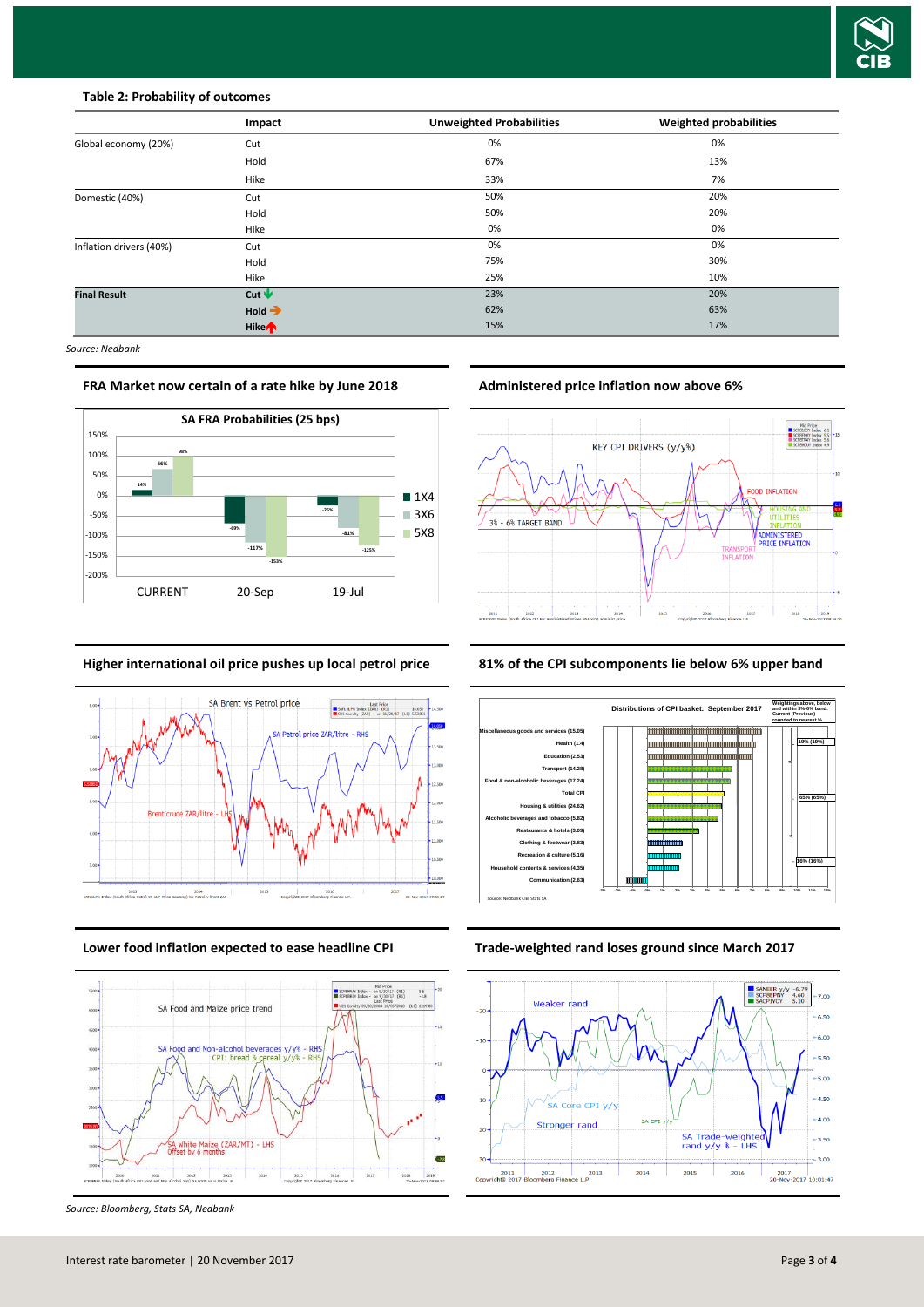

### **Table 2: Probability of outcomes**

|                         | Impact                 | <b>Unweighted Probabilities</b> | Weighted probabilities |
|-------------------------|------------------------|---------------------------------|------------------------|
| Global economy (20%)    | Cut                    | 0%                              | 0%                     |
|                         | Hold                   | 67%                             | 13%                    |
|                         | Hike                   | 33%                             | 7%                     |
| Domestic (40%)          | Cut                    | 50%                             | 20%                    |
|                         | Hold                   | 50%                             | 20%                    |
|                         | Hike                   | 0%                              | 0%                     |
| Inflation drivers (40%) | Cut                    | 0%                              | 0%                     |
|                         | Hold                   | 75%                             | 30%                    |
|                         | Hike                   | 25%                             | 10%                    |
| <b>Final Result</b>     | Cut $\mathbf \Psi$     | 23%                             | 20%                    |
|                         | $Hold \rightarrow$     | 62%                             | 63%                    |
|                         | <b>Hike<sup></sup></b> | 15%                             | 17%                    |

*Source: Nedbank*

**FRA Market now certain of a rate hike by June 2018 Administered price inflation now above 6%**







*Source: Bloomberg, Stats SA, Nedbank*



**Higher international oil price pushes up local petrol price 81% of the CPI subcomponents lie below 6% upper band**